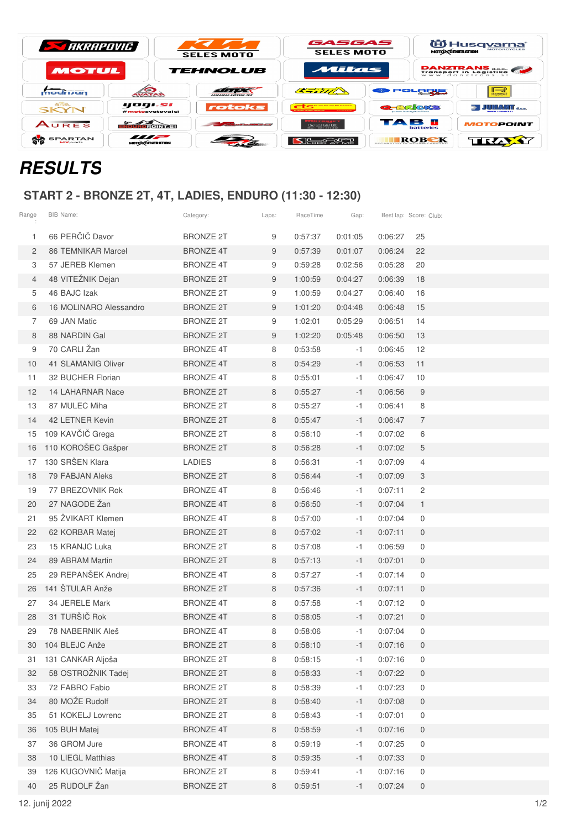| <b>STARRAPOVIC</b> |               | <b>SELES MOTO</b> | GASGAS<br><b>SELES MOTO</b> |         | 伯 Husq <u>varna</u> *<br><b>MOTORCYCLES</b><br><b>MOTO CENERATION</b>                                                                                                                                                                                                                                                                                                                                                                                                                                                                                                                                                                                                                                                                                                                                                                                                                                                                                                                                                                                                                                                                                                                                      |  |  |
|--------------------|---------------|-------------------|-----------------------------|---------|------------------------------------------------------------------------------------------------------------------------------------------------------------------------------------------------------------------------------------------------------------------------------------------------------------------------------------------------------------------------------------------------------------------------------------------------------------------------------------------------------------------------------------------------------------------------------------------------------------------------------------------------------------------------------------------------------------------------------------------------------------------------------------------------------------------------------------------------------------------------------------------------------------------------------------------------------------------------------------------------------------------------------------------------------------------------------------------------------------------------------------------------------------------------------------------------------------|--|--|
| MOTUL              |               | <b>TEHNOLUB</b>   | Mitas                       |         | <b>DANZTRANS</b><br>Transport in Logistika                                                                                                                                                                                                                                                                                                                                                                                                                                                                                                                                                                                                                                                                                                                                                                                                                                                                                                                                                                                                                                                                                                                                                                 |  |  |
| modrijan           | <b>AVATAR</b> | <b>WWW.WMX.51</b> | CERTIF                      | POLORIS | ⊪⊸<br><b>BS&amp;#&lt;/b&gt;&lt;/th&gt;&lt;/tr&gt;&lt;tr&gt;&lt;th&gt;&lt;b&gt;GSB.&lt;/b&gt;&lt;br&gt;SKYN&lt;/th&gt;&lt;th&gt;yogı.sı&lt;br&gt;#motosvetovalci&lt;/th&gt;&lt;th&gt;rotoks&lt;/th&gt;&lt;th&gt;&lt;b&gt;AND REACTION CONTINUES IN A REAL&lt;/b&gt;&lt;/th&gt;&lt;th&gt;&lt;b&gt;REBRACKS&lt;/b&gt;&lt;/th&gt;&lt;th&gt;i Juhani &lt;sub&gt;192&lt;/sub&gt;&lt;/th&gt;&lt;/tr&gt;&lt;tr&gt;&lt;th&gt;AURES&lt;/th&gt;&lt;th&gt;&lt;u&gt;लैंगणन स्&lt;/u&gt;वेताराज्ञ&lt;/th&gt;&lt;th&gt;&lt;/th&gt;&lt;th&gt;&lt;math&gt;\mathbb{Z}&lt;/math&gt; is a &lt;math&gt;\mathbb{Z}&lt;/math&gt; in &lt;math&gt;\mathbb{Z}&lt;/math&gt;&lt;br&gt;Gam 081 411 418&lt;/th&gt;&lt;th&gt;TAB E&lt;br&gt;&lt;b&gt;batteries&lt;/b&gt;&lt;/th&gt;&lt;th&gt;&lt;b&gt;MOTOPOINT&lt;/b&gt;&lt;/th&gt;&lt;/tr&gt;&lt;tr&gt;&lt;td&gt;&lt;b&gt;SPARTAN&lt;/b&gt;&lt;br&gt;&lt;b&gt;MX&lt;/b&gt;parts&lt;/td&gt;&lt;td&gt;&lt;math&gt;\frac{1}{\sqrt{1-\frac{1}{2}}}&lt;/math&gt;&lt;br&gt;&lt;b&gt;MOTO CENERATION&lt;/b&gt;&lt;/td&gt;&lt;td&gt;&lt;/td&gt;&lt;td&gt;[기능법상산]&lt;/td&gt;&lt;td&gt;ROBEK&lt;br&gt;PECARBTVO II&lt;/td&gt;&lt;td&gt;TRĄY&lt;/td&gt;&lt;/tr&gt;&lt;/tbody&gt;&lt;/table&gt;</b> |  |  |

## **RESULTS**

## **START 2 - BRONZE 2T, 4T, LADIES, ENDURO (11:30 - 12:30)**

| Range          | BIB Name:                 | Category:        | Laps: | RaceTime | Gap:    | Best lap: Score: Club: |                  |
|----------------|---------------------------|------------------|-------|----------|---------|------------------------|------------------|
| 1              | 66 PERČIČ Davor           | <b>BRONZE 2T</b> | 9     | 0:57:37  | 0:01:05 | 0:06:27                | 25               |
| 2              | <b>86 TEMNIKAR Marcel</b> | <b>BRONZE 4T</b> | 9     | 0:57:39  | 0:01:07 | 0:06:24                | 22               |
| З              | 57 JEREB Klemen           | <b>BRONZE 4T</b> | 9     | 0:59:28  | 0:02:56 | 0:05:28                | 20               |
| $\overline{4}$ | 48 VITEŽNIK Dejan         | <b>BRONZE 2T</b> | 9     | 1:00:59  | 0:04:27 | 0:06:39                | 18               |
| 5              | 46 BAJC Izak              | <b>BRONZE 2T</b> | 9     | 1:00:59  | 0:04:27 | 0:06:40                | 16               |
| 6              | 16 MOLINARO Alessandro    | <b>BRONZE 2T</b> | 9     | 1:01:20  | 0:04:48 | 0:06:48                | 15               |
| 7              | 69 JAN Matic              | <b>BRONZE 2T</b> | 9     | 1:02:01  | 0:05:29 | 0:06:51                | 14               |
| 8              | 88 NARDIN Gal             | <b>BRONZE 2T</b> | 9     | 1:02:20  | 0:05:48 | 0:06:50                | 13               |
| 9              | 70 CARLI Žan              | <b>BRONZE 4T</b> | 8     | 0:53:58  | $-1$    | 0:06:45                | 12               |
| 10             | <b>41 SLAMANIG Oliver</b> | <b>BRONZE 4T</b> | 8     | 0:54:29  | $-1$    | 0:06:53                | 11               |
| 11             | 32 BUCHER Florian         | <b>BRONZE 4T</b> | 8     | 0:55:01  | $-1$    | 0:06:47                | 10               |
| 12             | 14 LAHARNAR Nace          | <b>BRONZE 2T</b> | 8     | 0:55:27  | -1      | 0:06:56                | 9                |
| 13             | 87 MULEC Miha             | <b>BRONZE 2T</b> | 8     | 0:55:27  | $-1$    | 0:06:41                | 8                |
| 14             | 42 LETNER Kevin           | <b>BRONZE 2T</b> | 8     | 0:55:47  | $-1$    | 0:06:47                | $\overline{7}$   |
| 15             | 109 KAVČIČ Grega          | <b>BRONZE 2T</b> | 8     | 0:56:10  | $-1$    | 0:07:02                | 6                |
| 16             | 110 KOROŠEC Gašper        | <b>BRONZE 2T</b> | 8     | 0:56:28  | $-1$    | 0:07:02                | $\sqrt{5}$       |
| 17             | 130 SRŠEN Klara           | <b>LADIES</b>    | 8     | 0:56:31  | $-1$    | 0:07:09                | $\overline{4}$   |
| 18             | 79 FABJAN Aleks           | <b>BRONZE 2T</b> | 8     | 0:56:44  | $-1$    | 0:07:09                | 3                |
| 19             | 77 BREZOVNIK Rok          | <b>BRONZE 4T</b> | 8     | 0:56:46  | -1      | 0:07:11                | $\overline{c}$   |
| 20             | 27 NAGODE Žan             | <b>BRONZE 4T</b> | 8     | 0:56:50  | -1      | 0:07:04                | $\mathbf{1}$     |
| 21             | 95 ŽVIKART Klemen         | <b>BRONZE 4T</b> | 8     | 0:57:00  | -1      | 0:07:04                | $\mathbf 0$      |
| 22             | 62 KORBAR Matej           | <b>BRONZE 2T</b> | 8     | 0:57:02  | $-1$    | 0:07:11                | $\mathbf 0$      |
| 23             | 15 KRANJC Luka            | <b>BRONZE 2T</b> | 8     | 0:57:08  | $-1$    | 0:06:59                | 0                |
| 24             | 89 ABRAM Martin           | <b>BRONZE 2T</b> | 8     | 0:57:13  | $-1$    | 0:07:01                | $\mathbf 0$      |
| 25             | 29 REPANŠEK Andrej        | <b>BRONZE 4T</b> | 8     | 0:57:27  | -1      | 0:07:14                | 0                |
| 26             | 141 ŠTULAR Anže           | <b>BRONZE 2T</b> | 8     | 0:57:36  | $-1$    | 0:07:11                | $\overline{0}$   |
| 27             | 34 JERELE Mark            | <b>BRONZE 4T</b> | 8     | 0:57:58  | -1      | 0:07:12                | 0                |
| 28             | 31 TURŠIČ Rok             | <b>BRONZE 4T</b> | 8     | 0:58:05  | $-1$    | 0:07:21                | $\overline{0}$   |
| 29             | 78 NABERNIK Aleš          | <b>BRONZE 4T</b> | 8     | 0:58:06  | -1      | 0:07:04                | $\mathbf 0$      |
| 30             | 104 BLEJC Anže            | <b>BRONZE 2T</b> | 8     | 0:58:10  | -1      | 0:07:16                | 0                |
| 31             | 131 CANKAR Aljoša         | <b>BRONZE 2T</b> | 8     | 0:58:15  | -1      | 0:07:16                | 0                |
| 32             | 58 OSTROŽNIK Tadej        | <b>BRONZE 2T</b> | 8     | 0:58:33  | $-1$    | 0:07:22                | $\boldsymbol{0}$ |
| 33             | 72 FABRO Fabio            | <b>BRONZE 2T</b> | 8     | 0:58:39  | -1      | 0:07:23                | 0                |
| 34             | 80 MOŽE Rudolf            | <b>BRONZE 2T</b> | 8     | 0:58:40  | $-1$    | 0:07:08                | $\mathbf 0$      |
| 35             | 51 KOKELJ Lovrenc         | <b>BRONZE 2T</b> | 8     | 0:58:43  | -1      | 0:07:01                | 0                |
| 36             | 105 BUH Matej             | <b>BRONZE 4T</b> | 8     | 0:58:59  | $-1$    | 0:07:16                | 0                |
| 37             | 36 GROM Jure              | <b>BRONZE 4T</b> | 8     | 0:59:19  | -1      | 0:07:25                | $\boldsymbol{0}$ |
| 38             | 10 LIEGL Matthias         | <b>BRONZE 4T</b> | 8     | 0:59:35  | $-1$    | 0:07:33                | $\overline{0}$   |
| 39             | 126 KUGOVNIČ Matija       | <b>BRONZE 2T</b> | 8     | 0:59:41  | -1      | 0:07:16                | 0                |
| 40             | 25 RUDOLF Žan             | <b>BRONZE 2T</b> | 8     | 0:59:51  | $-1$    | 0:07:24                | $\mathbf 0$      |